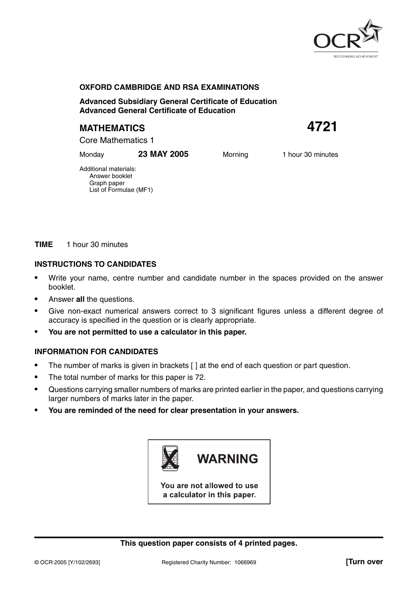

### **OXFORD CAMBRIDGE AND RSA EXAMINATIONS**

**Advanced Subsidiary General Certificate of Education Advanced General Certificate of Education**

# **MATHEMATICS 4721**

Core Mathematics 1

Monday **23 MAY 2005** Morning 1 hour 30 minutes

Additional materials: Answer booklet Graph paper List of Formulae (MF1)

**TIME** 1 hour 30 minutes

### **INSTRUCTIONS TO CANDIDATES**

- **•** Write your name, centre number and candidate number in the spaces provided on the answer booklet.
- **•** Answer **all** the questions.
- **•** Give non-exact numerical answers correct to 3 significant figures unless a different degree of accuracy is specified in the question or is clearly appropriate.
- **• You are not permitted to use a calculator in this paper.**

## **INFORMATION FOR CANDIDATES**

- **•** The number of marks is given in brackets [ ] at the end of each question or part question.
- **•** The total number of marks for this paper is 72.
- **•** Questions carrying smaller numbers of marks are printed earlier in the paper, and questions carrying larger numbers of marks later in the paper.
- **• You are reminded of the need for clear presentation in your answers.**



You are not allowed to use a calculator in this paper.

#### **This question paper consists of 4 printed pages.**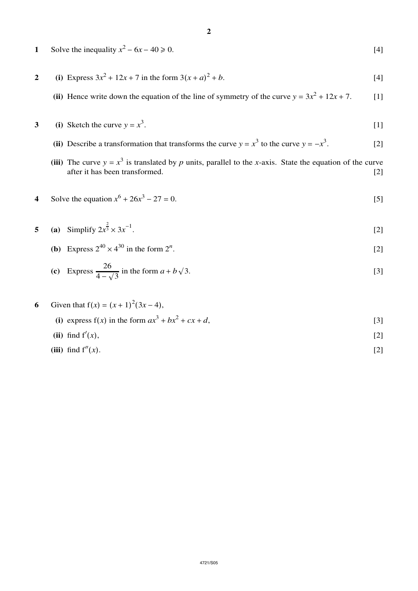- **2**
- **1** Solve the inequality  $x^2 6x 40 \ge 0$ . [4]
- **2** (i) Express  $3x^2 + 12x + 7$  in the form  $3(x + a)^2 + b$ .  $2 + b$ . [4]
	- (ii) Hence write down the equation of the line of symmetry of the curve  $y = 3x^2 + 12x + 7$ . [1]
- **3** (i) Sketch the curve  $y = x^3$ . .  $[1]$ 
	- (ii) Describe a transformation that transforms the curve *y* =  $x^3$  to the curve *y* =  $-x^3$ . . [2]
	- (iii) The curve  $y = x^3$  is translated by *p* units, parallel to the *x*-axis. State the equation of the curve after it has been transformed. [2] after it has been transformed.

# **4** Solve the equation  $x^6 + 26x^3 - 27 = 0$ . [5]

- **5** (a) Simplify  $2x^{\frac{2}{3}} \times 3x^{-1}$ .  $[2]$ 
	- **(b)** Express  $2^{40} \times 4^{30}$  in the form  $2^n$ . .  $[2]$

(c) Express 
$$
\frac{26}{4 - \sqrt{3}}
$$
 in the form  $a + b\sqrt{3}$ . [3]

6 Given that 
$$
f(x) = (x + 1)^2 (3x - 4)
$$
,  
\n(i) express  $f(x)$  in the form  $ax^3 + bx^2 + cx + d$ , [3]  
\n(ii) find  $f'(x)$ , [2]

**(iii)** find  $f''(x)$ . [2]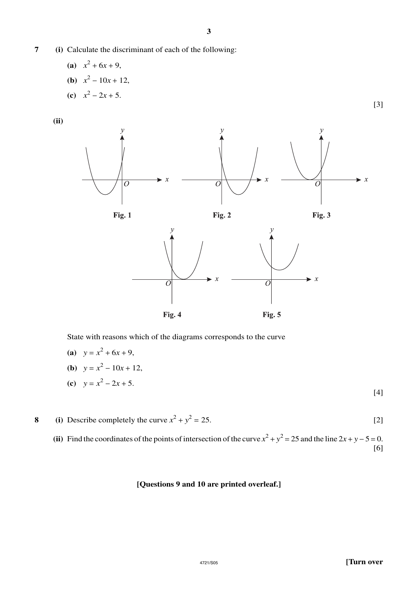# **7 (i)** Calculate the discriminant of each of the following:

(a)  $x^2 + 6x + 9$ , **(b)**  $x^2 - 10x + 12$ , **(c)**  $x^2 - 2x + 5$ .

**(ii)**



State with reasons which of the diagrams corresponds to the curve

(a) 
$$
y = x^2 + 6x + 9
$$
,  
\n(b)  $y = x^2 - 10x + 12$ ,  
\n(c)  $y = x^2 - 2x + 5$ . [4]

**8** (i) Describe completely the curve  $x^2 + y^2 = 25$ . [2]

(ii) Find the coordinates of the points of intersection of the curve  $x^2 + y^2 = 25$  and the line  $2x + y - 5 = 0$ . [6]

### **[Questions 9 and 10 are printed overleaf.]**

[3]